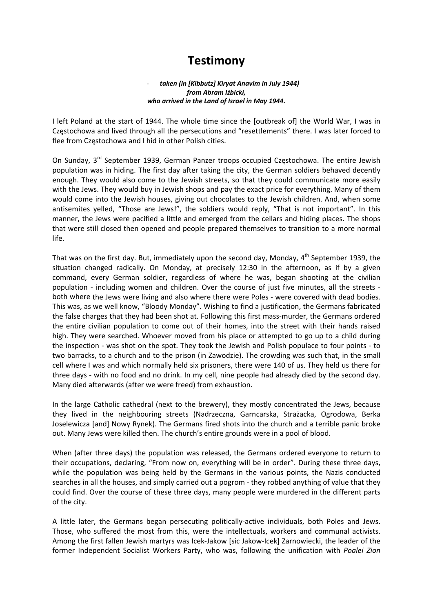# **Testimony**

### ‐ *taken (in [Kibbutz] Kiryat Anavim in July 1944) from Abram Iżbicki, who arrived in the Land of Israel in May 1944.*

I left Poland at the start of 1944. The whole time since the [outbreak of] the World War, I was in Częstochowa and lived through all the persecutions and "resettlements" there. I was later forced to flee from Częstochowa and I hid in other Polish cities.

On Sunday, 3<sup>rd</sup> September 1939, German Panzer troops occupied Częstochowa. The entire Jewish population was in hiding. The first day after taking the city, the German soldiers behaved decently enough. They would also come to the Jewish streets, so that they could communicate more easily with the Jews. They would buy in Jewish shops and pay the exact price for everything. Many of them would come into the Jewish houses, giving out chocolates to the Jewish children. And, when some antisemites yelled, "Those are Jews!", the soldiers would reply, "That is not important". In this manner, the Jews were pacified a little and emerged from the cellars and hiding places. The shops that were still closed then opened and people prepared themselves to transition to a more normal life.

That was on the first day. But, immediately upon the second day, Monday,  $4^{th}$  September 1939, the situation changed radically. On Monday, at precisely 12:30 in the afternoon, as if by a given command, every German soldier, regardless of where he was, began shooting at the civilian population - including women and children. Over the course of just five minutes, all the streets both where the Jews were living and also where there were Poles - were covered with dead bodies. This was, as we well know, "Bloody Monday". Wishing to find a justification, the Germans fabricated the false charges that they had been shot at. Following this first mass-murder, the Germans ordered the entire civilian population to come out of their homes, into the street with their hands raised high. They were searched. Whoever moved from his place or attempted to go up to a child during the inspection ‐ was shot on the spot. They took the Jewish and Polish populace to four points ‐ to two barracks, to a church and to the prison (in Zawodzie). The crowding was such that, in the small cell where I was and which normally held six prisoners, there were 140 of us. They held us there for three days ‐ with no food and no drink. In my cell, nine people had already died by the second day. Many died afterwards (after we were freed) from exhaustion.

In the large Catholic cathedral (next to the brewery), they mostly concentrated the Jews, because they lived in the neighbouring streets (Nadrzeczna, Garncarska, Strażacka, Ogrodowa, Berka Joselewicza [and] Nowy Rynek). The Germans fired shots into the church and a terrible panic broke out. Many Jews were killed then. The church's entire grounds were in a pool of blood.

When (after three days) the population was released, the Germans ordered everyone to return to their occupations, declaring, "From now on, everything will be in order". During these three days, while the population was being held by the Germans in the various points, the Nazis conducted searches in all the houses, and simply carried out a pogrom ‐ they robbed anything of value that they could find. Over the course of these three days, many people were murdered in the different parts of the city.

A little later, the Germans began persecuting politically‐active individuals, both Poles and Jews. Those, who suffered the most from this, were the intellectuals, workers and communal activists. Among the first fallen Jewish martyrs was Icek‐Jakow [sic Jakow‐Icek] Zarnowiecki, the leader of the former Independent Socialist Workers Party, who was, following the unification with *Poalei Zion*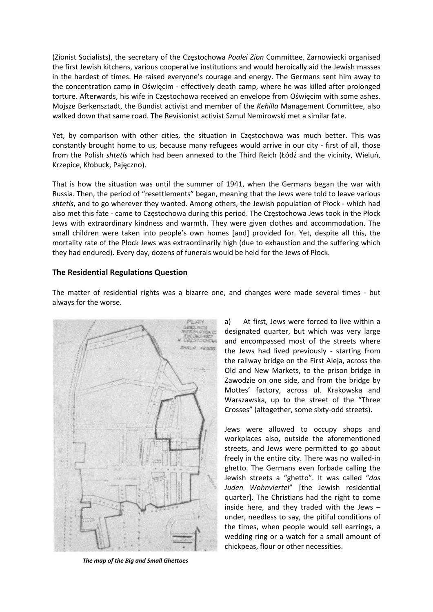(Zionist Socialists), the secretary of the Częstochowa *Poalei Zion* Committee. Zarnowiecki organised the first Jewish kitchens, various cooperative institutions and would heroically aid the Jewish masses in the hardest of times. He raised everyone's courage and energy. The Germans sent him away to the concentration camp in Oświęcim ‐ effectively death camp, where he was killed after prolonged torture. Afterwards, his wife in Częstochowa received an envelope from Oświęcim with some ashes. Mojsze Berkensztadt, the Bundist activist and member of the *Kehilla* Management Committee, also walked down that same road. The Revisionist activist Szmul Nemirowski met a similar fate.

Yet, by comparison with other cities, the situation in Częstochowa was much better. This was constantly brought home to us, because many refugees would arrive in our city ‐ first of all, those from the Polish *shtetls* which had been annexed to the Third Reich (Łódź and the vicinity, Wieluń, Krzepice, Kłobuck, Pajęczno).

That is how the situation was until the summer of 1941, when the Germans began the war with Russia. Then, the period of "resettlements" began, meaning that the Jews were told to leave various *shtetls*, and to go wherever they wanted. Among others, the Jewish population of Płock ‐ which had also met this fate ‐ came to Częstochowa during this period. The Częstochowa Jews took in the Płock Jews with extraordinary kindness and warmth. They were given clothes and accommodation. The small children were taken into people's own homes [and] provided for. Yet, despite all this, the mortality rate of the Płock Jews was extraordinarily high (due to exhaustion and the suffering which they had endured). Every day, dozens of funerals would be held for the Jews of Płock.

## **The Residential Regulations Question**

*The map of the Big and Small Ghettoes*

The matter of residential rights was a bizarre one, and changes were made several times - but always for the worse.

> a) At first, Jews were forced to live within a designated quarter, but which was very large and encompassed most of the streets where the Jews had lived previously - starting from the railway bridge on the First Aleja, across the Old and New Markets, to the prison bridge in Zawodzie on one side, and from the bridge by Mottes' factory, across ul. Krakowska and Warszawska, up to the street of the "Three Crosses" (altogether, some sixty‐odd streets).

> Jews were allowed to occupy shops and workplaces also, outside the aforementioned streets, and Jews were permitted to go about freely in the entire city. There was no walled‐in ghetto. The Germans even forbade calling the Jewish streets a "ghetto". It was called "*das Juden Wohnviertel*" [the Jewish residential quarter]. The Christians had the right to come inside here, and they traded with the Jews – under, needless to say, the pitiful conditions of the times, when people would sell earrings, a wedding ring or a watch for a small amount of chickpeas, flour or other necessities.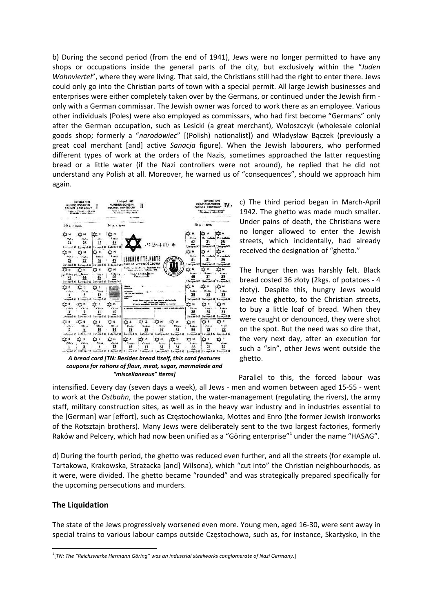b) During the second period (from the end of 1941), Jews were no longer permitted to have any shops or occupations inside the general parts of the city, but exclusively within the "*Juden Wohnviertel*", where they were living. That said, the Christians still had the right to enter there. Jews could only go into the Christian parts of town with a special permit. All large Jewish businesses and enterprises were either completely taken over by the Germans, or continued under the Jewish firm ‐ only with a German commissar. The Jewish owner was forced to work there as an employee. Various other individuals (Poles) were also employed as commissars, who had first become "Germans" only after the German occupation, such as Lesicki (a great merchant), Wołoszczyk (wholesale colonial goods shop; formerly a "*narodowiec*" [(Polish) nationalist]) and Władysław Bączek (previously a great coal merchant [and] active *Sanacja* figure). When the Jewish labourers, who performed different types of work at the orders of the Nazis, sometimes approached the latter requesting bread or a little water (if the Nazi controllers were not around), he replied that he did not understand any Polish at all. Moreover, he warned us of "consequences", should we approach him again.



*A bread card [TN: Besides bread itself, this card features coupons for rations of flour, meat, sugar, marmalade and "miscellaneous" items]*

c) The third period began in March‐April 1942. The ghetto was made much smaller. Under pains of death, the Christians were no longer allowed to enter the Jewish streets, which incidentally, had already received the designation of "ghetto."

The hunger then was harshly felt. Black bread costed 36 złoty (2kgs. of potatoes ‐ 4 złoty). Despite this, hungry Jews would leave the ghetto, to the Christian streets, to buy a little loaf of bread. When they were caught or denounced, they were shot on the spot. But the need was so dire that, the very next day, after an execution for such a "sin", other Jews went outside the ghetto.

 Parallel to this, the forced labour was intensified. Eevery day (seven days a week), all Jews ‐ men and women between aged 15‐55 ‐ went to work at the *Ostbahn*, the power station, the water‐management (regulating the rivers), the army staff, military construction sites, as well as in the heavy war industry and in industries essential to the [German] war [effort], such as Częstochowianka, Mottes and Enro (the former Jewish ironworks of the Rotsztajn brothers). Many Jews were deliberately sent to the two largest factories, formerly Raków and Pelcery, which had now been unified as a "Göring enterprise"<sup>1</sup> under the name "HASAG".

d) During the fourth period, the ghetto was reduced even further, and all the streets (for example ul. Tartakowa, Krakowska, Strażacka [and] Wilsona), which "cut into" the Christian neighbourhoods, as it were, were divided. The ghetto became "rounded" and was strategically prepared specifically for the upcoming persecutions and murders.

#### **The Liquidation**

The state of the Jews progressively worsened even more. Young men, aged 16‐30, were sent away in special trains to various labour camps outside Częstochowa, such as, for instance, Skarżysko, in the

<sup>1</sup> [*TN: The "Reichswerke Hermann Göring" was an industrial steelworks conglomerate of Nazi Germany*.]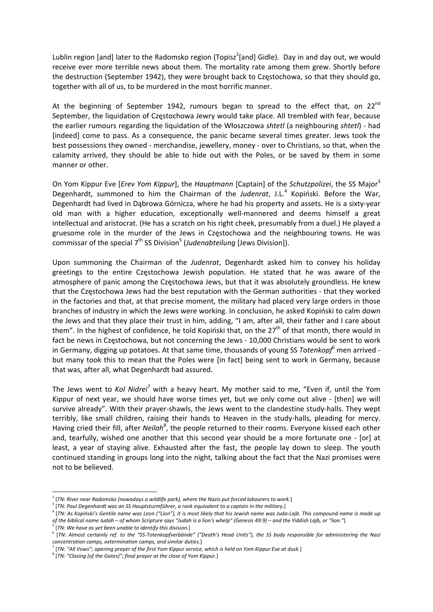Lublin region [and] later to the Radomsko region (Topisz<sup>2</sup>[and] Gidle). Day in and day out, we would receive ever more terrible news about them. The mortality rate among them grew. Shortly before the destruction (September 1942), they were brought back to Częstochowa, so that they should go, together with all of us, to be murdered in the most horrific manner.

At the beginning of September 1942, rumours began to spread to the effect that, on 22 $^{\text{nd}}$ September, the liquidation of Częstochowa Jewry would take place. All trembled with fear, because the earlier rumours regarding the liquidation of the Włoszczowa *shtetl* (a neighbouring *shtetl*) ‐ had [indeed] come to pass. As a consequence, the panic became several times greater. Jews took the best possessions they owned ‐ merchandise, jewellery, money ‐ over to Christians, so that, when the calamity arrived, they should be able to hide out with the Poles, or be saved by them in some manner or other.

On Yom Kippur Eve [*Erev Yom Kippur*], the *Hauptmann* [Captain] of the *Schutzpolizei*, the SS Major<sup>3</sup> Degenhardt, summoned to him the Chairman of the Judenrat, J.L.<sup>4</sup> Kopiński. Before the War, Degenhardt had lived in Dąbrowa Górnicza, where he had his property and assets. He is a sixty‐year old man with a higher education, exceptionally well‐mannered and deems himself a great intellectual and aristocrat. (He has a scratch on his right cheek, presumably from a duel.) He played a gruesome role in the murder of the Jews in Częstochowa and the neighbouring towns. He was commissar of the special 7<sup>th</sup> SS Division<sup>5</sup> (*Judenabteilung* [Jews Division]).

Upon summoning the Chairman of the *Judenrat*, Degenhardt asked him to convey his holiday greetings to the entire Częstochowa Jewish population. He stated that he was aware of the atmosphere of panic among the Częstochowa Jews, but that it was absolutely groundless. He knew that the Częstochowa Jews had the best reputation with the German authorities ‐ that they worked in the factories and that, at that precise moment, the military had placed very large orders in those branches of industry in which the Jews were working. In conclusion, he asked Kopiński to calm down the Jews and that they place their trust in him, adding, "I am, after all, their father and I care about them". In the highest of confidence, he told Kopiński that, on the  $27<sup>th</sup>$  of that month, there would in fact be news in Czestochowa, but not concerning the Jews - 10,000 Christians would be sent to work in Germany, digging up potatoes. At that same time, thousands of young SS *Totenkopf*<sup>6</sup> men arrived ‐ but many took this to mean that the Poles were [in fact] being sent to work in Germany, because that was, after all, what Degenhardt had assured.

The Jews went to *Kol Nidrei<sup>7</sup>* with a heavy heart. My mother said to me, "Even if, until the Yom Kippur of next year, we should have worse times yet, but we only come out alive ‐ [then] we will survive already". With their prayer-shawls, the Jews went to the clandestine study-halls. They wept terribly, like small children, raising their hands to Heaven in the study-halls, pleading for mercy. Having cried their fill, after *Neilah<sup>8</sup>*, the people returned to their rooms. Everyone kissed each other and, tearfully, wished one another that this second year should be a more fortunate one ‐ [or] at least, a year of staying alive. Exhausted after the fast, the people lay down to sleep. The youth continued standing in groups long into the night, talking about the fact that the Nazi promises were not to be believed.

<sup>2</sup> [*TN: River near Radomsko (nowadays a wildlife park), where the Nazis put forced labourers to work.*]

<sup>&</sup>lt;sup>3</sup> [TN: Paul Degenhardt was an SS Hauptsturmführer, a rank equivalent to a captain in the military.]<br><sup>4</sup> [TN: As Kopiński's Gentile name was Leon ("Lion"), it is most likely that his Jewish name was Juda-Lajb. This compou of the biblical name Judah - of whom Scripture says "Judah is a lion's whelp" (Genesis 49:9) - and the Yiddish Lajb, or "lion."]

<sup>5</sup> [*TN: We have as yet been unable to identify this division.*]

 $^6$  [TN: Almost certainly ref. to the "SS-Totenkopfverbände" ("Death's Head Units"), the SS body responsible for administering the Nazi *concentration camps, extermination camps, and similar duties.*]

 $^7$  [TN: "All Vows"; opening prayer of the first Yom Kippur service, which is held on Yom Kippur Eve at dusk.]

<sup>8</sup> [*TN: "Closing (of the Gates)"; final prayer at the close of Yom Kippur.*]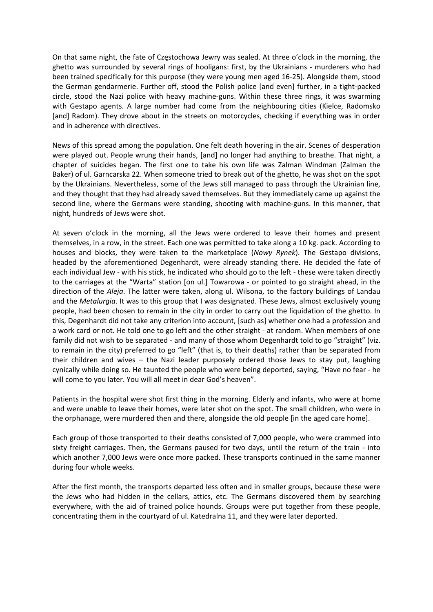On that same night, the fate of Częstochowa Jewry was sealed. At three o'clock in the morning, the ghetto was surrounded by several rings of hooligans: first, by the Ukrainians - murderers who had been trained specifically for this purpose (they were young men aged 16‐25). Alongside them, stood the German gendarmerie. Further off, stood the Polish police [and even] further, in a tight‐packed circle, stood the Nazi police with heavy machine‐guns. Within these three rings, it was swarming with Gestapo agents. A large number had come from the neighbouring cities (Kielce, Radomsko [and] Radom). They drove about in the streets on motorcycles, checking if everything was in order and in adherence with directives.

News of this spread among the population. One felt death hovering in the air. Scenes of desperation were played out. People wrung their hands, [and] no longer had anything to breathe. That night, a chapter of suicides began. The first one to take his own life was Zalman Windman (Zalman the Baker) of ul. Garncarska 22. When someone tried to break out of the ghetto, he was shot on the spot by the Ukrainians. Nevertheless, some of the Jews still managed to pass through the Ukrainian line, and they thought that they had already saved themselves. But they immediately came up against the second line, where the Germans were standing, shooting with machine-guns. In this manner, that night, hundreds of Jews were shot.

At seven o'clock in the morning, all the Jews were ordered to leave their homes and present themselves, in a row, in the street. Each one was permitted to take along a 10 kg. pack. According to houses and blocks, they were taken to the marketplace (*Nowy Rynek*). The Gestapo divisions, headed by the aforementioned Degenhardt, were already standing there. He decided the fate of each individual Jew - with his stick, he indicated who should go to the left - these were taken directly to the carriages at the "Warta" station [on ul.] Towarowa ‐ or pointed to go straight ahead, in the direction of the *Aleja*. The latter were taken, along ul. Wilsona, to the factory buildings of Landau and the *Metalurgia*. It was to this group that I was designated. These Jews, almost exclusively young people, had been chosen to remain in the city in order to carry out the liquidation of the ghetto. In this, Degenhardt did not take any criterion into account, [such as] whether one had a profession and a work card or not. He told one to go left and the other straight ‐ at random. When members of one family did not wish to be separated ‐ and many of those whom Degenhardt told to go "straight" (viz. to remain in the city) preferred to go "left" (that is, to their deaths) rather than be separated from their children and wives – the Nazi leader purposely ordered those Jews to stay put, laughing cynically while doing so. He taunted the people who were being deported, saying, "Have no fear ‐ he will come to you later. You will all meet in dear God's heaven".

Patients in the hospital were shot first thing in the morning. Elderly and infants, who were at home and were unable to leave their homes, were later shot on the spot. The small children, who were in the orphanage, were murdered then and there, alongside the old people [in the aged care home].

Each group of those transported to their deaths consisted of 7,000 people, who were crammed into sixty freight carriages. Then, the Germans paused for two days, until the return of the train - into which another 7,000 Jews were once more packed. These transports continued in the same manner during four whole weeks.

After the first month, the transports departed less often and in smaller groups, because these were the Jews who had hidden in the cellars, attics, etc. The Germans discovered them by searching everywhere, with the aid of trained police hounds. Groups were put together from these people, concentrating them in the courtyard of ul. Katedralna 11, and they were later deported.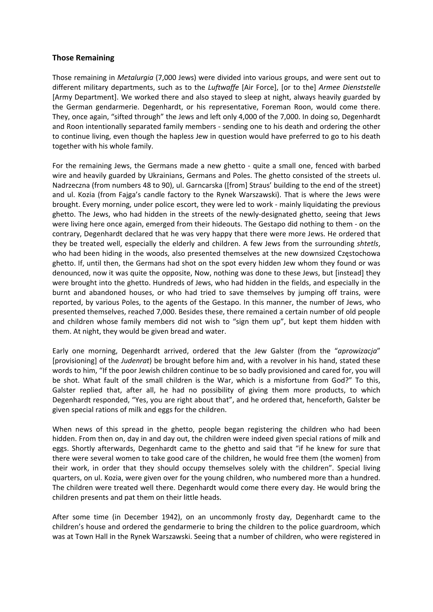## **Those Remaining**

Those remaining in *Metalurgia* (7,000 Jews) were divided into various groups, and were sent out to different military departments, such as to the *Luftwaffe* [Air Force], [or to the] *Armee Dienststelle* [Army Department]. We worked there and also stayed to sleep at night, always heavily guarded by the German gendarmerie. Degenhardt, or his representative, Foreman Roon, would come there. They, once again, "sifted through" the Jews and left only 4,000 of the 7,000. In doing so, Degenhardt and Roon intentionally separated family members ‐ sending one to his death and ordering the other to continue living, even though the hapless Jew in question would have preferred to go to his death together with his whole family.

For the remaining Jews, the Germans made a new ghetto - quite a small one, fenced with barbed wire and heavily guarded by Ukrainians, Germans and Poles. The ghetto consisted of the streets ul. Nadrzeczna (from numbers 48 to 90), ul. Garncarska ([from] Straus' building to the end of the street) and ul. Kozia (from Fajga's candle factory to the Rynek Warszawski). That is where the Jews were brought. Every morning, under police escort, they were led to work ‐ mainly liquidating the previous ghetto. The Jews, who had hidden in the streets of the newly‐designated ghetto, seeing that Jews were living here once again, emerged from their hideouts. The Gestapo did nothing to them ‐ on the contrary, Degenhardt declared that he was very happy that there were more Jews. He ordered that they be treated well, especially the elderly and children. A few Jews from the surrounding *shtetls*, who had been hiding in the woods, also presented themselves at the new downsized Częstochowa ghetto. If, until then, the Germans had shot on the spot every hidden Jew whom they found or was denounced, now it was quite the opposite, Now, nothing was done to these Jews, but [instead] they were brought into the ghetto. Hundreds of Jews, who had hidden in the fields, and especially in the burnt and abandoned houses, or who had tried to save themselves by jumping off trains, were reported, by various Poles, to the agents of the Gestapo. In this manner, the number of Jews, who presented themselves, reached 7,000. Besides these, there remained a certain number of old people and children whose family members did not wish to "sign them up", but kept them hidden with them. At night, they would be given bread and water.

Early one morning, Degenhardt arrived, ordered that the Jew Galster (from the "*aprowizacja*" [provisioning] of the *Judenrat*) be brought before him and, with a revolver in his hand, stated these words to him, "If the poor Jewish children continue to be so badly provisioned and cared for, you will be shot. What fault of the small children is the War, which is a misfortune from God?" To this, Galster replied that, after all, he had no possibility of giving them more products, to which Degenhardt responded, "Yes, you are right about that", and he ordered that, henceforth, Galster be given special rations of milk and eggs for the children.

When news of this spread in the ghetto, people began registering the children who had been hidden. From then on, day in and day out, the children were indeed given special rations of milk and eggs. Shortly afterwards, Degenhardt came to the ghetto and said that "if he knew for sure that there were several women to take good care of the children, he would free them (the women) from their work, in order that they should occupy themselves solely with the children". Special living quarters, on ul. Kozia, were given over for the young children, who numbered more than a hundred. The children were treated well there. Degenhardt would come there every day. He would bring the children presents and pat them on their little heads.

After some time (in December 1942), on an uncommonly frosty day, Degenhardt came to the children's house and ordered the gendarmerie to bring the children to the police guardroom, which was at Town Hall in the Rynek Warszawski. Seeing that a number of children, who were registered in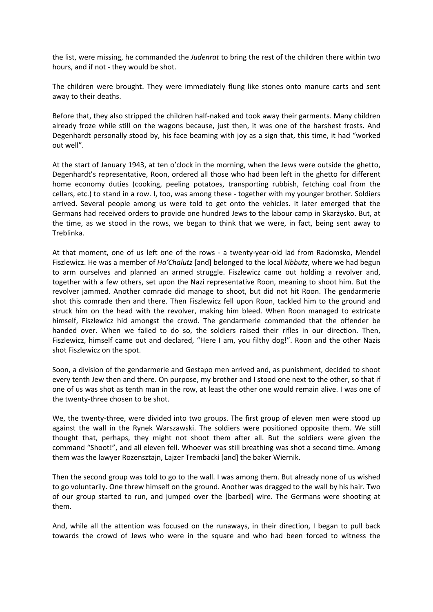the list, were missing, he commanded the *Judenrat* to bring the rest of the children there within two hours, and if not ‐ they would be shot.

The children were brought. They were immediately flung like stones onto manure carts and sent away to their deaths.

Before that, they also stripped the children half-naked and took away their garments. Many children already froze while still on the wagons because, just then, it was one of the harshest frosts. And Degenhardt personally stood by, his face beaming with joy as a sign that, this time, it had "worked out well".

At the start of January 1943, at ten o'clock in the morning, when the Jews were outside the ghetto, Degenhardt's representative, Roon, ordered all those who had been left in the ghetto for different home economy duties (cooking, peeling potatoes, transporting rubbish, fetching coal from the cellars, etc.) to stand in a row. I, too, was among these ‐ together with my younger brother. Soldiers arrived. Several people among us were told to get onto the vehicles. It later emerged that the Germans had received orders to provide one hundred Jews to the labour camp in Skarżysko. But, at the time, as we stood in the rows, we began to think that we were, in fact, being sent away to Treblinka.

At that moment, one of us left one of the rows - a twenty-year-old lad from Radomsko, Mendel Fiszlewicz. He was a member of *Ha'Chalutz* [and] belonged to the local *kibbutz*, where we had begun to arm ourselves and planned an armed struggle. Fiszlewicz came out holding a revolver and, together with a few others, set upon the Nazi representative Roon, meaning to shoot him. But the revolver jammed. Another comrade did manage to shoot, but did not hit Roon. The gendarmerie shot this comrade then and there. Then Fiszlewicz fell upon Roon, tackled him to the ground and struck him on the head with the revolver, making him bleed. When Roon managed to extricate himself, Fiszlewicz hid amongst the crowd. The gendarmerie commanded that the offender be handed over. When we failed to do so, the soldiers raised their rifles in our direction. Then, Fiszlewicz, himself came out and declared, "Here I am, you filthy dog!". Roon and the other Nazis shot Fiszlewicz on the spot.

Soon, a division of the gendarmerie and Gestapo men arrived and, as punishment, decided to shoot every tenth Jew then and there. On purpose, my brother and I stood one next to the other, so that if one of us was shot as tenth man in the row, at least the other one would remain alive. I was one of the twenty‐three chosen to be shot.

We, the twenty-three, were divided into two groups. The first group of eleven men were stood up against the wall in the Rynek Warszawski. The soldiers were positioned opposite them. We still thought that, perhaps, they might not shoot them after all. But the soldiers were given the command "Shoot!", and all eleven fell. Whoever was still breathing was shot a second time. Among them was the lawyer Rozensztajn, Lajzer Trembacki [and] the baker Wiernik.

Then the second group was told to go to the wall. I was among them. But already none of us wished to go voluntarily. One threw himself on the ground. Another was dragged to the wall by his hair. Two of our group started to run, and jumped over the [barbed] wire. The Germans were shooting at them.

And, while all the attention was focused on the runaways, in their direction, I began to pull back towards the crowd of Jews who were in the square and who had been forced to witness the